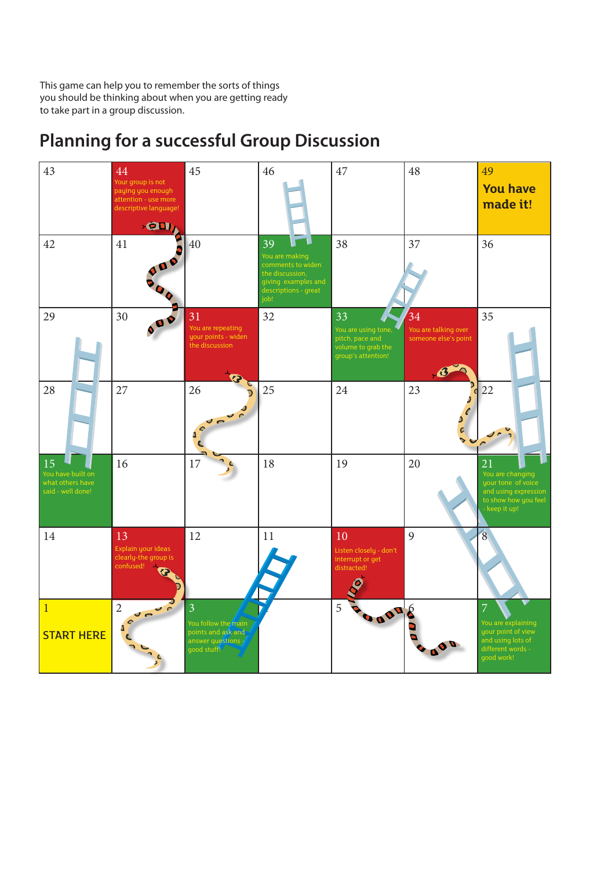This game can help you to remember the sorts of things you should be thinking about when you are getting ready to take part in a group discussion.



## **Planning for a successful Group Discussion**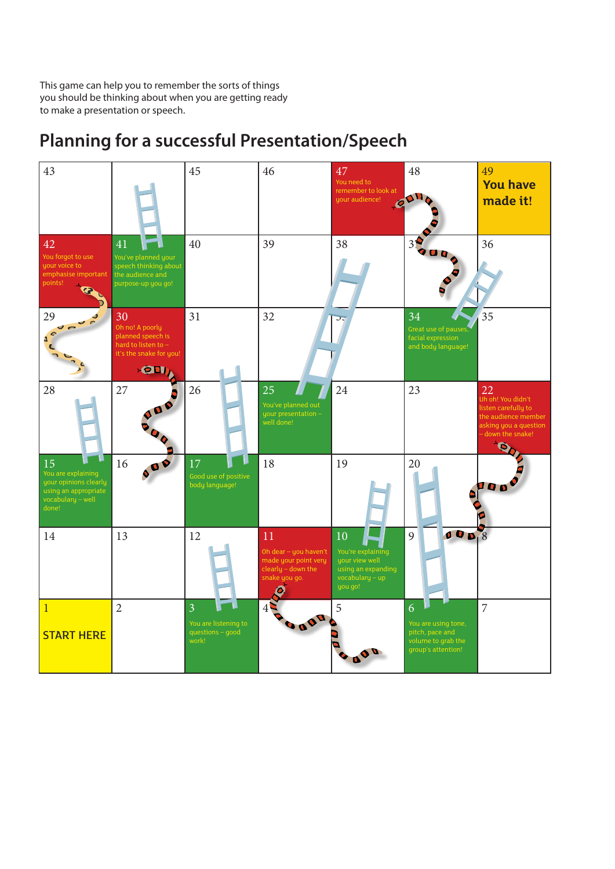This game can help you to remember the sorts of things you should be thinking about when you are getting ready to make a presentation or speech.

## 43  $\begin{array}{|c|c|c|c|c|}\n\hline\n43 & 45 & 46 & 47 & 48 & 49\n\end{array}$ **You have**  You need to remember to look at  $\mathbf{A}$ **made it!**  your audience!  $\mathcal{Q}$ 42 41 40 39 38 37 36 You forgot to use You've planned your your voice to speech thinking about emphasise important the audience and points! purpose-up you go! B 29  $30$  31  $32$   $77$   $34$   $35$ Oh no! A poorly planned speech is á hard to listen to – and body language!it's the snake for you<sup>!</sup>  $\sqrt{21}$ 28 27 **3** 26 25 4 24 23 22 union<br><mark>Ih oh! You didn't</mark> listen carefully to your presentation – well done! sking you a question – down the snake! **O** 15 **16 00 17 18** 18 19 20 1 You are explaining your opinions clearly body language! 10 A using an appropriate 14 | 13 | 12 | 11 | 10 | 9 | 10 | 9 | 10 | 13 Oh dear – you haven't You're explaining made your point very your view well clearly – down the using an expanding nake you go vocabulary – up you go! 0  $1$  2 3  $1$  4  $5$  5 6 7 You are using tone, questions – good START HERE work! volume to grab the group's attention! **100**

## **Planning for a successful Presentation/Speech**